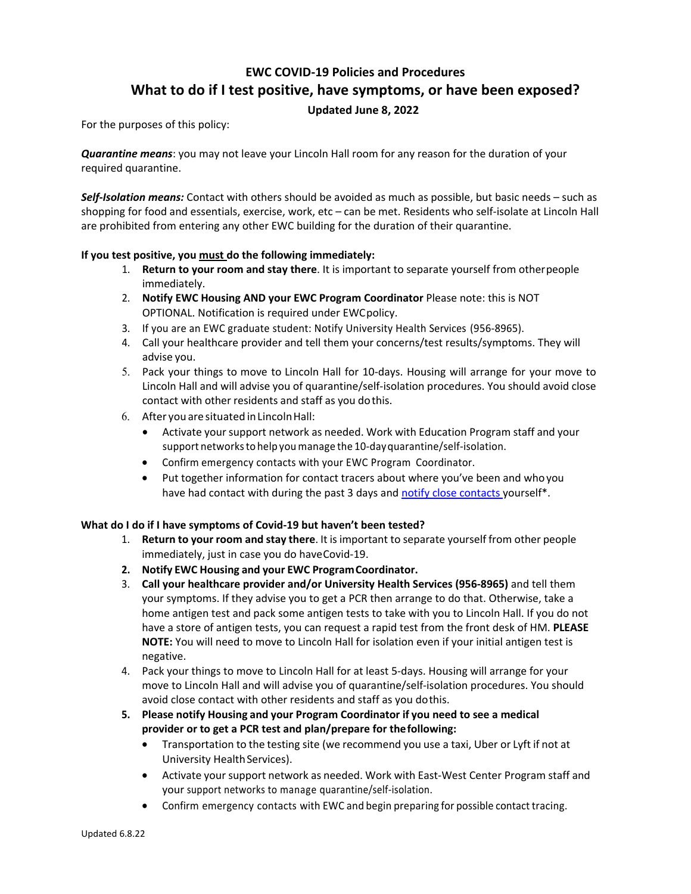# **EWC COVID‐19 Policies and Procedures What to do if I test positive, have symptoms, or have been exposed?**

## **Updated June 8, 2022**

For the purposes of this policy:

*Quarantine means*: you may not leave your Lincoln Hall room for any reason for the duration of your required quarantine.

*Self‐Isolation means:* Contact with others should be avoided as much as possible, but basic needs – such as shopping for food and essentials, exercise, work, etc – can be met. Residents who self-isolate at Lincoln Hall are prohibited from entering any other EWC building for the duration of their quarantine.

## **If you test positive, you must do the following immediately:**

- 1. **Return to your room and stay there**. It is important to separate yourself from other people immediately.
- 2. **Notify EWC Housing AND your EWC Program Coordinator** Please note: this is NOT OPTIONAL. Notification is required under EWC policy.
- 3. If you are an EWC graduate student: Notify University Health Services (956‐8965).
- 4. Call your healthcare provider and tell them your concerns/test results/symptoms. They will advise you.
- 5. Pack your things to move to Lincoln Hall for 10-days. Housing will arrange for your move to Lincoln Hall and will advise you of quarantine/self‐isolation procedures. You should avoid close contact with other residents and staff as you do this.
- 6. After you are situated in Lincoln Hall:
	- Activate your support network as needed. Work with Education Program staff and your support networks to help you manage the 10‐day quarantine/self‐isolation.
	- Confirm emergency contacts with your EWC Program Coordinator.
	- Put together information for contact tracers about where you've been and who you have had contact with during the past 3 days and notify close contacts yourself\*.

## **What do I do if I have symptoms of Covid‐19 but haven't been tested?**

- 1. **Return to your room and stay there**. It is important to separate yourself from other people immediately, just in case you do have Covid‐19.
- **2. Notify EWC Housing and your EWC Program Coordinator.**
- 3. **Call your healthcare provider and/or University Health Services (956‐8965)** and tell them your symptoms. If they advise you to get a PCR then arrange to do that. Otherwise, take a home antigen test and pack some antigen tests to take with you to Lincoln Hall. If you do not have a store of antigen tests, you can request a rapid test from the front desk of HM. **PLEASE NOTE:** You will need to move to Lincoln Hall for isolation even if your initial antigen test is negative.
- 4. Pack your things to move to Lincoln Hall for at least 5-days. Housing will arrange for your move to Lincoln Hall and will advise you of quarantine/self‐isolation procedures. You should avoid close contact with other residents and staff as you do this.
- **5. Please notify Housing and your Program Coordinator if you need to see a medical provider or to get a PCR test and plan/prepare for the following:** 
	- Transportation to the testing site (we recommend you use a taxi, Uber or Lyft if not at University Health Services).
	- Activate your support network as needed. Work with East-West Center Program staff and your support networks to manage quarantine/self‐isolation.
	- Confirm emergency contacts with EWC and begin preparing for possible contact tracing.